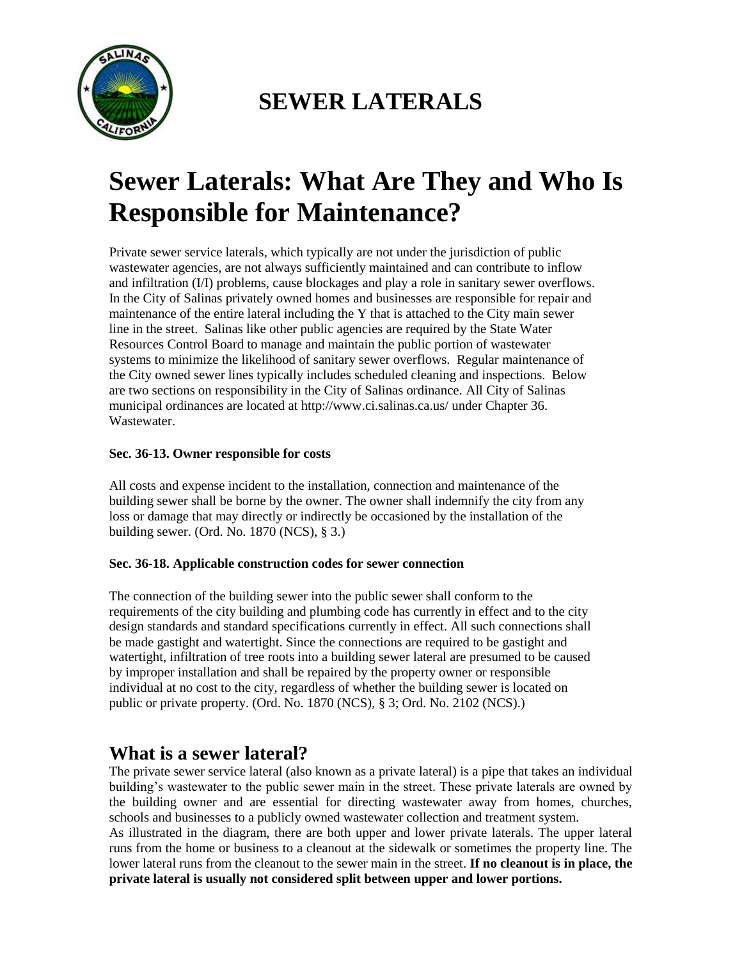

## **SEWER LATERALS**

# **Sewer Laterals: What Are They and Who Is Responsible for Maintenance?**

Private sewer service laterals, which typically are not under the jurisdiction of public wastewater agencies, are not always sufficiently maintained and can contribute to inflow and infiltration (I/I) problems, cause blockages and play a role in sanitary sewer overflows. In the City of Salinas privately owned homes and businesses are responsible for repair and maintenance of the entire lateral including the Y that is attached to the City main sewer line in the street. Salinas like other public agencies are required by the State Water Resources Control Board to manage and maintain the public portion of wastewater systems to minimize the likelihood of sanitary sewer overflows. Regular maintenance of the City owned sewer lines typically includes scheduled cleaning and inspections. Below are two sections on responsibility in the City of Salinas ordinance. All City of Salinas municipal ordinances are located at http://www.ci.salinas.ca.us/ under Chapter 36. Wastewater.

#### **Sec. 36-13. Owner responsible for costs**

All costs and expense incident to the installation, connection and maintenance of the building sewer shall be borne by the owner. The owner shall indemnify the city from any loss or damage that may directly or indirectly be occasioned by the installation of the building sewer. (Ord. No. 1870 (NCS), § 3.)

#### **Sec. 36-18. Applicable construction codes for sewer connection**

The connection of the building sewer into the public sewer shall conform to the requirements of the city building and plumbing code has currently in effect and to the city design standards and standard specifications currently in effect. All such connections shall be made gastight and watertight. Since the connections are required to be gastight and watertight, infiltration of tree roots into a building sewer lateral are presumed to be caused by improper installation and shall be repaired by the property owner or responsible individual at no cost to the city, regardless of whether the building sewer is located on public or private property. (Ord. No. 1870 (NCS), § 3; Ord. No. 2102 (NCS).)

## **What is a sewer lateral?**

The private sewer service lateral (also known as a private lateral) is a pipe that takes an individual building's wastewater to the public sewer main in the street. These private laterals are owned by the building owner and are essential for directing wastewater away from homes, churches, schools and businesses to a publicly owned wastewater collection and treatment system.

As illustrated in the diagram, there are both upper and lower private laterals. The upper lateral runs from the home or business to a cleanout at the sidewalk or sometimes the property line. The lower lateral runs from the cleanout to the sewer main in the street. **If no cleanout is in place, the private lateral is usually not considered split between upper and lower portions.**